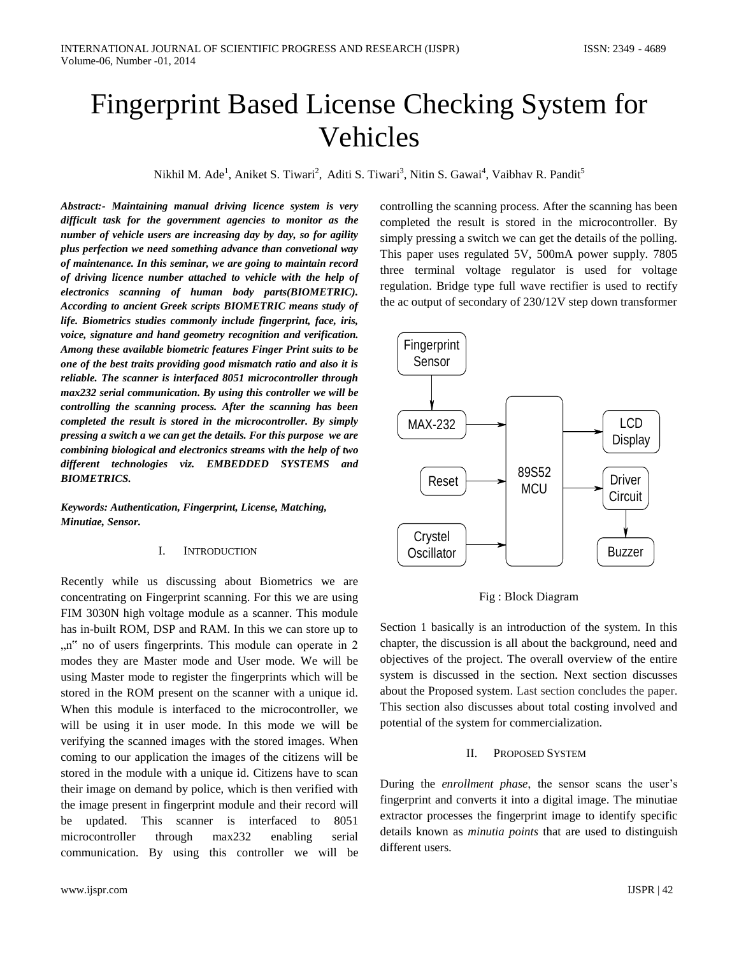# Fingerprint Based License Checking System for Vehicles

Nikhil M. Ade<sup>1</sup>, Aniket S. Tiwari<sup>2</sup>, Aditi S. Tiwari<sup>3</sup>, Nitin S. Gawai<sup>4</sup>, Vaibhav R. Pandit<sup>5</sup>

*Abstract:- Maintaining manual driving licence system is very difficult task for the government agencies to monitor as the number of vehicle users are increasing day by day, so for agility plus perfection we need something advance than convetional way of maintenance. In this seminar, we are going to maintain record of driving licence number attached to vehicle with the help of electronics scanning of human body parts(BIOMETRIC). According to ancient Greek scripts BIOMETRIC means study of life. Biometrics studies commonly include fingerprint, face, iris, voice, signature and hand geometry recognition and verification. Among these available biometric features Finger Print suits to be one of the best traits providing good mismatch ratio and also it is reliable. The scanner is interfaced 8051 microcontroller through max232 serial communication. By using this controller we will be controlling the scanning process. After the scanning has been completed the result is stored in the microcontroller. By simply pressing a switch a we can get the details. For this purpose we are combining biological and electronics streams with the help of two different technologies viz. EMBEDDED SYSTEMS and BIOMETRICS.*

*Keywords: Authentication, Fingerprint, License, Matching, Minutiae, Sensor.*

#### I. INTRODUCTION

Recently while us discussing about Biometrics we are concentrating on Fingerprint scanning. For this we are using FIM 3030N high voltage module as a scanner. This module has in-built ROM, DSP and RAM. In this we can store up to ...n<sup>"</sup> no of users fingerprints. This module can operate in 2 modes they are Master mode and User mode. We will be using Master mode to register the fingerprints which will be stored in the ROM present on the scanner with a unique id. When this module is interfaced to the microcontroller, we will be using it in user mode. In this mode we will be verifying the scanned images with the stored images. When coming to our application the images of the citizens will be stored in the module with a unique id. Citizens have to scan their image on demand by police, which is then verified with the image present in fingerprint module and their record will be updated. This scanner is interfaced to 8051 microcontroller through max232 enabling serial communication. By using this controller we will be controlling the scanning process. After the scanning has been completed the result is stored in the microcontroller. By simply pressing a switch we can get the details of the polling. This paper uses regulated 5V, 500mA power supply. 7805 three terminal voltage regulator is used for voltage regulation. Bridge type full wave rectifier is used to rectify the ac output of secondary of 230/12V step down transformer



Fig : Block Diagram

Section 1 basically is an introduction of the system. In this chapter, the discussion is all about the background, need and objectives of the project. The overall overview of the entire system is discussed in the section. Next section discusses about the Proposed system. Last section concludes the paper. This section also discusses about total costing involved and potential of the system for commercialization.

## II. PROPOSED SYSTEM

During the *enrollment phase*, the sensor scans the user's fingerprint and converts it into a digital image. The minutiae extractor processes the fingerprint image to identify specific details known as *minutia points* that are used to distinguish different users.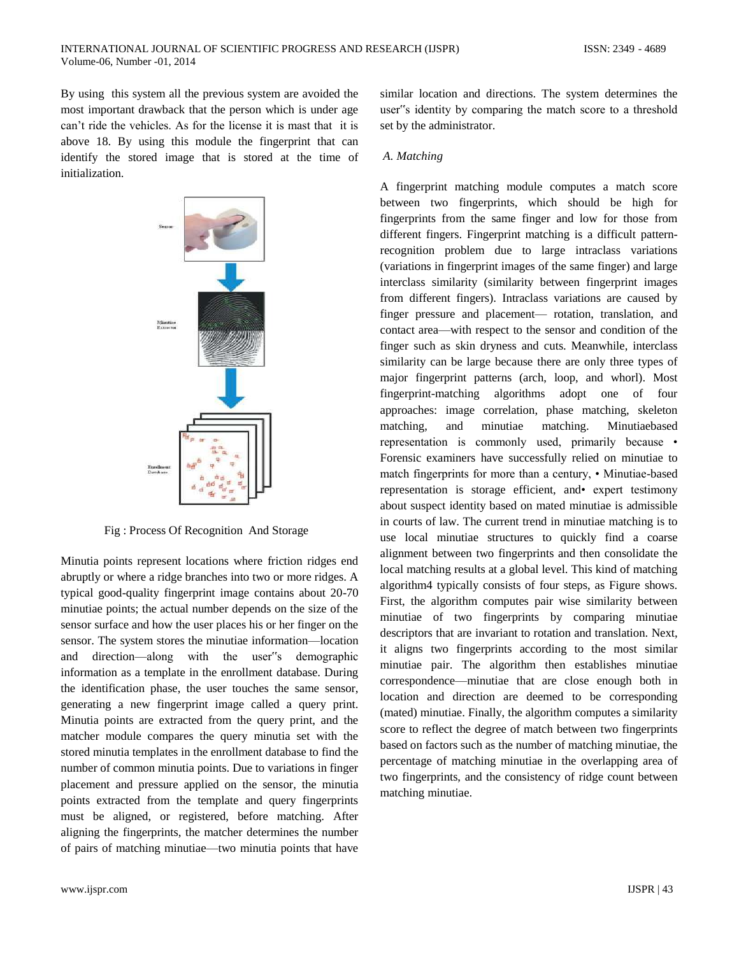By using this system all the previous system are avoided the most important drawback that the person which is under age can't ride the vehicles. As for the license it is mast that it is above 18. By using this module the fingerprint that can identify the stored image that is stored at the time of initialization.



Fig : Process Of Recognition And Storage

Minutia points represent locations where friction ridges end abruptly or where a ridge branches into two or more ridges. A typical good-quality fingerprint image contains about 20-70 minutiae points; the actual number depends on the size of the sensor surface and how the user places his or her finger on the sensor. The system stores the minutiae information—location and direction—along with the user"s demographic information as a template in the enrollment database. During the identification phase, the user touches the same sensor, generating a new fingerprint image called a query print. Minutia points are extracted from the query print, and the matcher module compares the query minutia set with the stored minutia templates in the enrollment database to find the number of common minutia points. Due to variations in finger placement and pressure applied on the sensor, the minutia points extracted from the template and query fingerprints must be aligned, or registered, before matching. After aligning the fingerprints, the matcher determines the number of pairs of matching minutiae—two minutia points that have

similar location and directions. The system determines the user"s identity by comparing the match score to a threshold set by the administrator.

#### *A. Matching*

A fingerprint matching module computes a match score between two fingerprints, which should be high for fingerprints from the same finger and low for those from different fingers. Fingerprint matching is a difficult patternrecognition problem due to large intraclass variations (variations in fingerprint images of the same finger) and large interclass similarity (similarity between fingerprint images from different fingers). Intraclass variations are caused by finger pressure and placement— rotation, translation, and contact area—with respect to the sensor and condition of the finger such as skin dryness and cuts. Meanwhile, interclass similarity can be large because there are only three types of major fingerprint patterns (arch, loop, and whorl). Most fingerprint-matching algorithms adopt one of four approaches: image correlation, phase matching, skeleton matching, and minutiae matching. Minutiaebased representation is commonly used, primarily because • Forensic examiners have successfully relied on minutiae to match fingerprints for more than a century, • Minutiae-based representation is storage efficient, and• expert testimony about suspect identity based on mated minutiae is admissible in courts of law. The current trend in minutiae matching is to use local minutiae structures to quickly find a coarse alignment between two fingerprints and then consolidate the local matching results at a global level. This kind of matching algorithm4 typically consists of four steps, as Figure shows. First, the algorithm computes pair wise similarity between minutiae of two fingerprints by comparing minutiae descriptors that are invariant to rotation and translation. Next, it aligns two fingerprints according to the most similar minutiae pair. The algorithm then establishes minutiae correspondence—minutiae that are close enough both in location and direction are deemed to be corresponding (mated) minutiae. Finally, the algorithm computes a similarity score to reflect the degree of match between two fingerprints based on factors such as the number of matching minutiae, the percentage of matching minutiae in the overlapping area of two fingerprints, and the consistency of ridge count between matching minutiae.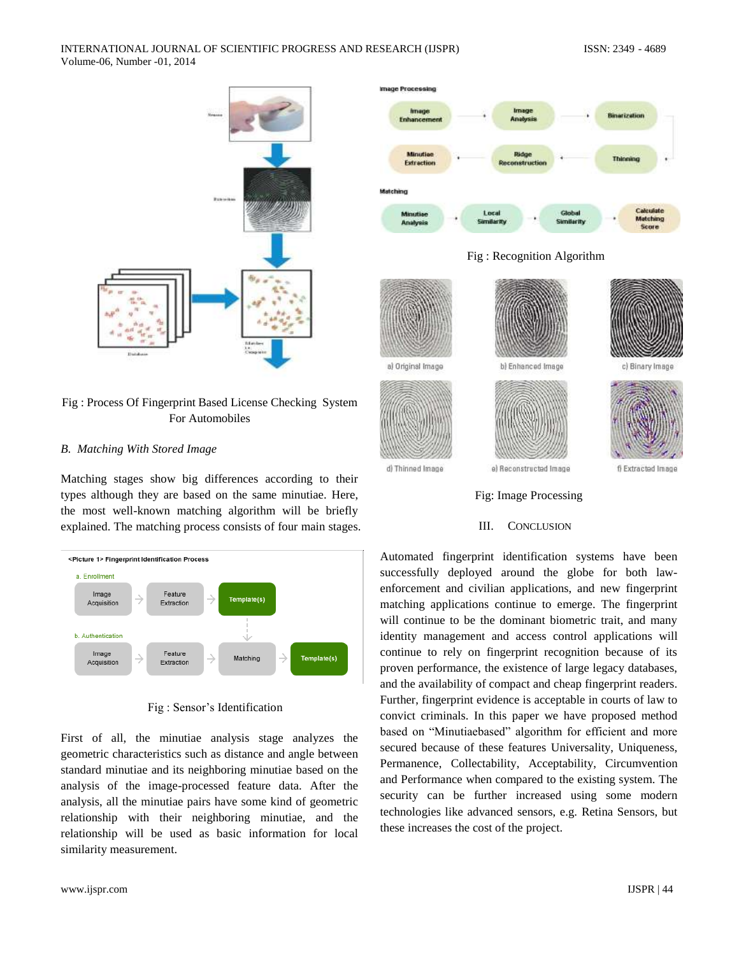#### INTERNATIONAL JOURNAL OF SCIENTIFIC PROGRESS AND RESEARCH (IJSPR) ISSN: 2349 - 4689 Volume-06, Number -01, 2014



Fig : Process Of Fingerprint Based License Checking System For Automobiles

# *B. Matching With Stored Image*

Matching stages show big differences according to their types although they are based on the same minutiae. Here, the most well-known matching algorithm will be briefly explained. The matching process consists of four main stages.



Fig : Sensor's Identification

First of all, the minutiae analysis stage analyzes the geometric characteristics such as distance and angle between standard minutiae and its neighboring minutiae based on the analysis of the image-processed feature data. After the analysis, all the minutiae pairs have some kind of geometric relationship with their neighboring minutiae, and the relationship will be used as basic information for local similarity measurement.



# Fig : Recognition Algorithm



Fig: Image Processing

## III. CONCLUSION

Automated fingerprint identification systems have been successfully deployed around the globe for both lawenforcement and civilian applications, and new fingerprint matching applications continue to emerge. The fingerprint will continue to be the dominant biometric trait, and many identity management and access control applications will continue to rely on fingerprint recognition because of its proven performance, the existence of large legacy databases, and the availability of compact and cheap fingerprint readers. Further, fingerprint evidence is acceptable in courts of law to convict criminals. In this paper we have proposed method based on "Minutiaebased" algorithm for efficient and more secured because of these features Universality, Uniqueness, Permanence, Collectability, Acceptability, Circumvention and Performance when compared to the existing system. The security can be further increased using some modern technologies like advanced sensors, e.g. Retina Sensors, but these increases the cost of the project.